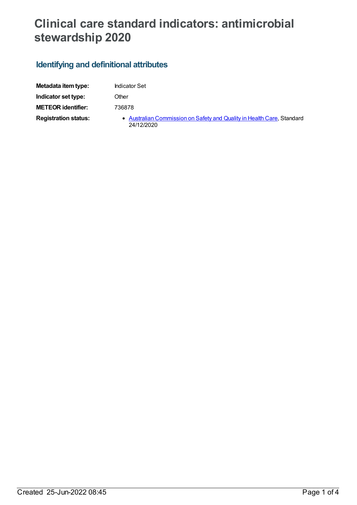## **Clinical care standard indicators: antimicrobial stewardship 2020**

## **Identifying and definitional attributes**

| Metadata item type:         | <b>Indicator Set</b>                                                                 |
|-----------------------------|--------------------------------------------------------------------------------------|
| Indicator set type:         | Other                                                                                |
| <b>METEOR identifier:</b>   | 736878                                                                               |
| <b>Registration status:</b> | • Australian Commission on Safety and Quality in Health Care, Standard<br>24/12/2020 |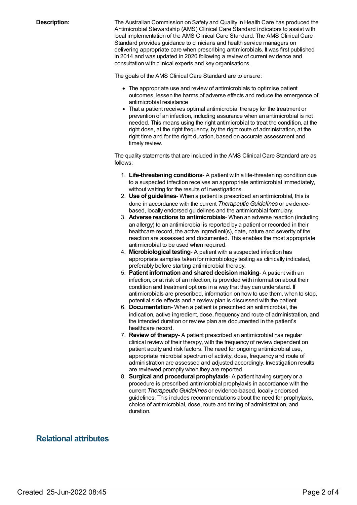**Description:** The Australian Commission on Safety and Quality in Health Care has produced the Antimicrobial Stewardship (AMS) Clinical Care Standard indicators to assist with local implementation of the AMS Clinical Care Standard. The AMS Clinical Care Standard provides guidance to clinicians and health service managers on delivering appropriate care when prescribing antimicrobials. It was first published in 2014 and was updated in 2020 following a review of current evidence and consultation with clinical experts and key organisations.

The goals of the AMS Clinical Care Standard are to ensure:

- The appropriate use and review of antimicrobials to optimise patient outcomes, lessen the harms of adverse effects and reduce the emergence of antimicrobial resistance
- That a patient receives optimal antimicrobial therapy for the treatment or prevention of an infection, including assurance when an antimicrobial is not needed. This means using the right antimicrobial to treat the condition, at the right dose, at the right frequency, by the right route of administration, at the right time and for the right duration, based on accurate assessment and timely review.

The quality statements that are included in the AMS Clinical Care Standard are as follows:

- 1. **Life-threatening conditions** A patient with a life-threatening condition due to a suspected infection receives an appropriate antimicrobial immediately, without waiting for the results of investigations.
- 2. **Use of guidelines** When a patient is prescribed an antimicrobial, this is done in accordance with the current *Therapeutic Guidelines* or evidencebased, locally endorsed guidelines and the antimicrobial formulary.
- 3. **Adverse reactions to antimicrobials** When an adverse reaction (including an allergy) to an antimicrobial is reported by a patient or recorded in their healthcare record, the active ingredient(s), date, nature and severity of the reaction are assessed and documented. This enables the most appropriate antimicrobial to be used when required.
- 4. **Microbiological testing** A patient with a suspected infection has appropriate samples taken for microbiology testing as clinically indicated, preferably before starting antimicrobial therapy.
- 5. **Patient information and shared decision making** A patient with an infection, or at risk of an infection, is provided with information about their condition and treatment options in a way that they can understand. If antimicrobials are prescribed, information on how to use them, when to stop, potential side effects and a review plan is discussed with the patient.
- 6. **Documentation** When a patient is prescribed an antimicrobial, the indication, active ingredient, dose, frequency and route of administration, and the intended duration or review plan are documented in the patient's healthcare record.
- 7. **Review of therapy** A patient prescribed an antimicrobial has regular clinical review of their therapy, with the frequency of review dependent on patient acuity and risk factors. The need for ongoing antimicrobial use, appropriate microbial spectrum of activity, dose, frequency and route of administration are assessed and adjusted accordingly. Investigation results are reviewed promptly when they are reported.
- 8. **Surgical and procedural prophylaxis** A patient having surgery or a procedure is prescribed antimicrobial prophylaxis in accordance with the current *Therapeutic Guidelines* or evidence-based, locally endorsed guidelines. This includes recommendations about the need for prophylaxis, choice of antimicrobial, dose, route and timing of administration, and duration.

## **Relational attributes**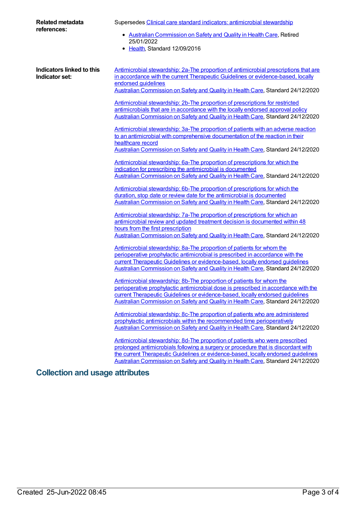| <b>Related metadata</b><br>references:      | Supersedes Clinical care standard indicators: antimicrobial stewardship<br>• Australian Commission on Safety and Quality in Health Care, Retired<br>25/01/2022<br>• Health, Standard 12/09/2016                                                                                                                                                                                                                                                                                                                                          |
|---------------------------------------------|------------------------------------------------------------------------------------------------------------------------------------------------------------------------------------------------------------------------------------------------------------------------------------------------------------------------------------------------------------------------------------------------------------------------------------------------------------------------------------------------------------------------------------------|
| Indicators linked to this<br>Indicator set: | Antimicrobial stewardship: 2a-The proportion of antimicrobial prescriptions that are<br>in accordance with the current Therapeutic Guidelines or evidence-based, locally<br>endorsed guidelines<br>Australian Commission on Safety and Quality in Health Care, Standard 24/12/2020<br>Antimicrobial stewardship: 2b-The proportion of prescriptions for restricted<br>antimicrobials that are in accordance with the locally endorsed approval policy<br>Australian Commission on Safety and Quality in Health Care, Standard 24/12/2020 |
|                                             | Antimicrobial stewardship: 3a-The proportion of patients with an adverse reaction<br>to an antimicrobial with comprehensive documentation of the reaction in their<br>healthcare record<br>Australian Commission on Safety and Quality in Health Care, Standard 24/12/2020                                                                                                                                                                                                                                                               |
|                                             | Antimicrobial stewardship: 6a-The proportion of prescriptions for which the<br>indication for prescribing the antimicrobial is documented<br>Australian Commission on Safety and Quality in Health Care, Standard 24/12/2020                                                                                                                                                                                                                                                                                                             |
|                                             | Antimicrobial stewardship: 6b-The proportion of prescriptions for which the<br>duration, stop date or review date for the antimicrobial is documented<br>Australian Commission on Safety and Quality in Health Care, Standard 24/12/2020                                                                                                                                                                                                                                                                                                 |
|                                             | Antimicrobial stewardship: 7a-The proportion of prescriptions for which an<br>antimicrobial review and updated treatment decision is documented within 48<br>hours from the first prescription<br>Australian Commission on Safety and Quality in Health Care, Standard 24/12/2020                                                                                                                                                                                                                                                        |
|                                             | Antimicrobial stewardship: 8a-The proportion of patients for whom the<br>perioperative prophylactic antimicrobial is prescribed in accordance with the<br>current Therapeutic Guidelines or evidence-based, locally endorsed quidelines<br>Australian Commission on Safety and Quality in Health Care, Standard 24/12/2020                                                                                                                                                                                                               |
|                                             | Antimicrobial stewardship: 8b-The proportion of patients for whom the<br>perioperative prophylactic antimicrobial dose is prescribed in accordance with the<br>current Therapeutic Guidelines or evidence-based, locally endorsed quidelines<br>Australian Commission on Safety and Quality in Health Care, Standard 24/12/2020                                                                                                                                                                                                          |
|                                             | Antimicrobial stewardship: 8c-The proportion of patients who are administered<br>prophylactic antimicrobials within the recommended time perioperatively<br>Australian Commission on Safety and Quality in Health Care, Standard 24/12/2020                                                                                                                                                                                                                                                                                              |
|                                             | Antimicrobial stewardship: 8d-The proportion of patients who were prescribed<br>prolonged antimicrobials following a surgery or procedure that is discordant with<br>the current Therapeutic Guidelines or evidence-based, locally endorsed quidelines<br>Australian Commission on Safety and Quality in Health Care, Standard 24/12/2020                                                                                                                                                                                                |

## **Collection and usage attributes**